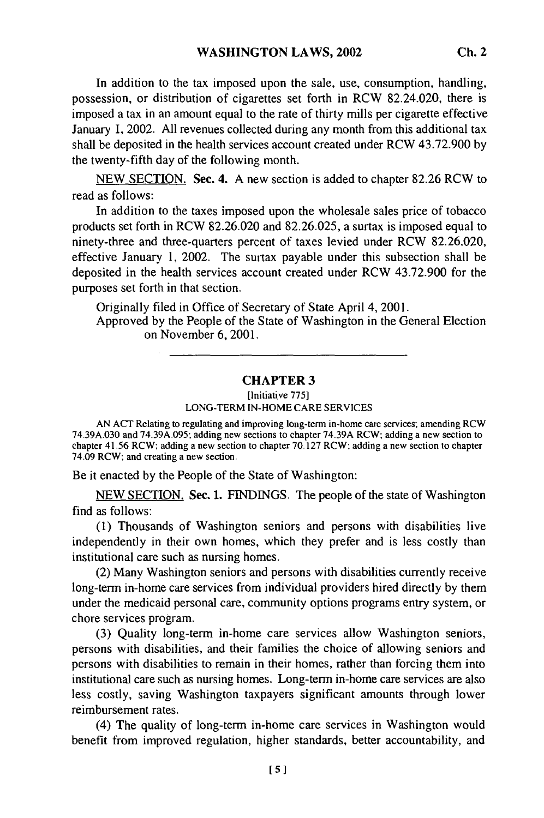In addition to the tax imposed upon the sale, use, consumption, handling, possession, or distribution of cigarettes set forth in RCW 82.24.020, there is imposed a tax in an amount equal to the rate of thirty mills per cigarette effective January 1, 2002. All revenues collected during any month from this additional tax shall be deposited in the health services account created under RCW 43.72.900 by the twenty-fifth day of the following month.

NEW SECTION. Sec. 4. A new section is added to chapter 82.26 RCW to read as follows:

In addition to the taxes imposed upon the wholesale sales price of tobacco products set forth in RCW 82.26.020 and 82.26.025, a surtax is imposed equal to ninety-three and three-quarters percent of taxes levied under RCW 82.26.020, effective January 1, 2002. The surtax payable under this subsection shall be deposited in the health services account created under RCW 43.72.900 for the purposes set forth in that section.

Originally filed in Office of Secretary of State April 4, 2001.

Approved by the People of the State of Washington in the General Election on November 6, 2001.

## **CHAPTER 3**

[Initiative **775]** LONG-TERM IN-HOME CARE SERVICES

AN ACT Relating to regulating and improving long-term in-home care services; amending RCW 74.39A.030 and 74.39A.095; adding new sections to chapter 74.39A RCW; adding a new section to chapter 41.56 RCW; adding a new section to chapter 70.127 RCW; adding a new section to chapter 74.09 RCW; and creating a new section.

Be it enacted by the People of the State of Washington:

NEW SECTION. Sec. 1. FINDINGS. The people of the state of Washington find as follows:

(1) Thousands of Washington seniors and persons with disabilities live independently in their own homes, which they prefer and is less costly than institutional care such as nursing homes.

(2) Many Washington seniors and persons with disabilities currently receive long-term in-home care services from individual providers hired directly by them under the medicaid personal care, community options programs entry system, or chore services program.

(3) Quality long-term in-home care services allow Washington seniors, persons with disabilities, and their families the choice of allowing seniors and persons with disabilities to remain in their homes, rather than forcing them into institutional care such as nursing homes. Long-term in-home care services are also less costly, saving Washington taxpayers significant amounts through lower reimbursement rates.

(4) The quality of long-term in-home care services in Washington would benefit from improved regulation, higher standards, better accountability, and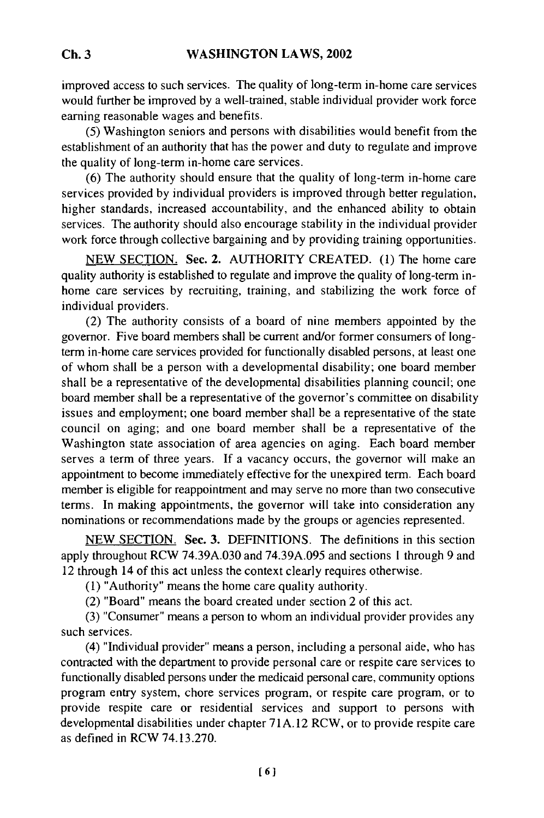improved access to such services. The quality of long-term in-home care services would further be improved by a well-trained, stable individual provider work force earning reasonable wages and benefits.

(5) Washington seniors and persons with disabilities would benefit from the establishment of an authority that has the power and duty to regulate and improve the quality of long-term in-home care services.

(6) The authority should ensure that the quality of long-term in-home care services provided by individual providers is improved through better regulation, higher standards, increased accountability, and the enhanced ability to obtain services. The authority should also encourage stability in the individual provider work force through collective bargaining and by providing training opportunities.

NEW SECTION. Sec. 2. AUTHORITY CREATED. (1) The home care quality authority is established to regulate and improve the quality of long-term inhome care services by recruiting, training, and stabilizing the work force of individual providers.

(2) The authority consists of a board of nine members appointed by the governor. Five board members shall be current and/or former consumers of longterm in-home care services provided for functionally disabled persons, at least one of whom shall be a person with a developmental disability; one board member shall be a representative of the developmental disabilities planning council; one board member shall be a representative of the governor's committee on disability issues and employment; one board member shall be a representative of the state council on aging; and one board member shall be a representative of the Washington state association of area agencies on aging. Each board member serves a term of three years. If a vacancy occurs, the governor will make an appointment to become immediately effective for the unexpired term. Each board member is eligible for reappointment and may serve no more than two consecutive terms. In making appointments, the governor will take into consideration any nominations or recommendations made by the groups or agencies represented.

NEW SECTION. Sec. 3. DEFINITIONS. The definitions in this section apply throughout RCW 74.39A.030 and 74.39A.095 and sections 1 through 9 and 12 through 14 of this act unless the context clearly requires otherwise.

(1) "Authority" means the home care quality authority.

(2) "Board" means the board created under section 2 of this act.

(3) "Consumer" means a person to whom an individual provider provides any such services.

(4) "Individual provider" means a person, including a personal aide, who has contracted with the department to provide personal care or respite care services to functionally disabled persons under the medicaid personal care, community options program entry system, chore services program, or respite care program, or to provide respite care or residential services and support to persons with developmental disabilities under chapter 71A. 12 RCW, or to provide respite care as defined in RCW 74.13.270.

**Ch. 3**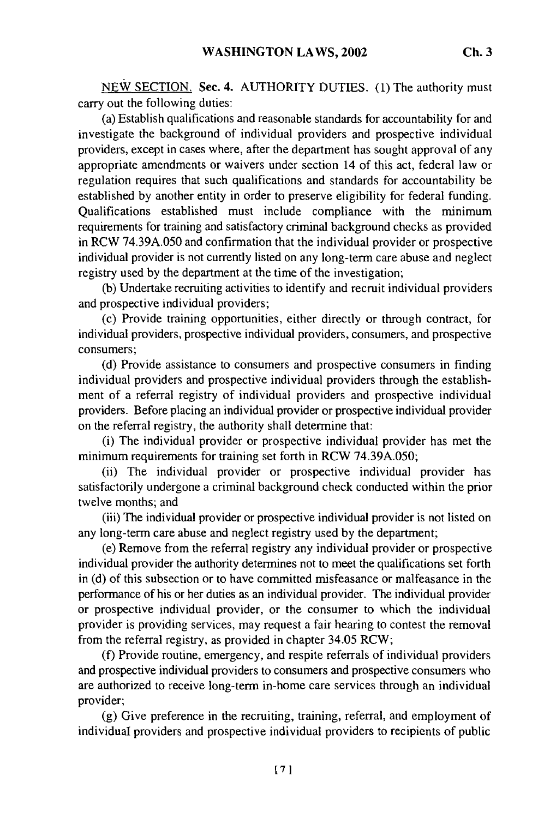NEW SECTION. Sec. 4. AUTHORITY DUTIES. **(1)** The authority must carry out the following duties:

(a) Establish qualifications and reasonable standards for accountability for and investigate the background of individual providers and prospective individual providers, except in cases where, after the department has sought approval of any appropriate amendments or waivers under section 14 of this act, federal law or regulation requires that such qualifications and standards for accountability be established by another entity in order to preserve eligibility for federal funding. Qualifications established must include compliance with the minimum requirements for training and satisfactory criminal background checks as provided in RCW 74.39A.050 and confirmation that the individual provider or prospective individual provider is not currently listed on any long-term care abuse and neglect registry used by the department at the time of the investigation;

(b) Undertake recruiting activities to identify and recruit individual providers and prospective individual providers;

(c) Provide training opportunities, either directly or through contract, for individual providers, prospective individual providers, consumers, and prospective consumers;

(d) Provide assistance to consumers and prospective consumers in finding individual providers and prospective individual providers through the establishment of a referral registry of individual providers and prospective individual providers. Before placing an individual provider or prospective individual provider on the referral registry, the authority shall determine that:

(i) The individual provider or prospective individual provider has met the minimum requirements for training set forth in RCW 74.39A.050;

(ii) The individual provider or prospective individual provider has satisfactorily undergone a criminal background check conducted within the prior twelve months; and

(iii) The individual provider or prospective individual provider is not listed on any long-term care abuse and neglect registry used by the department;

(e) Remove from the referral registry any individual provider or prospective individual provider the authority determines not to meet the qualifications set forth in (d) of this subsection or to have committed misfeasance or malfeasance in the performance of his or her duties as an individual provider. The individual provider or prospective individual provider, or the consumer to which the individual provider is providing services, may request a fair hearing to contest the removal from the referral registry, as provided in chapter 34.05 RCW;

(f) Provide routine, emergency, and respite referrals of individual providers and prospective individual providers to consumers and prospective consumers who are authorized to receive long-term in-home care services through an individual provider;

(g) Give preference in the recruiting, training, referral, and employment of individual providers and prospective individual providers to recipients of public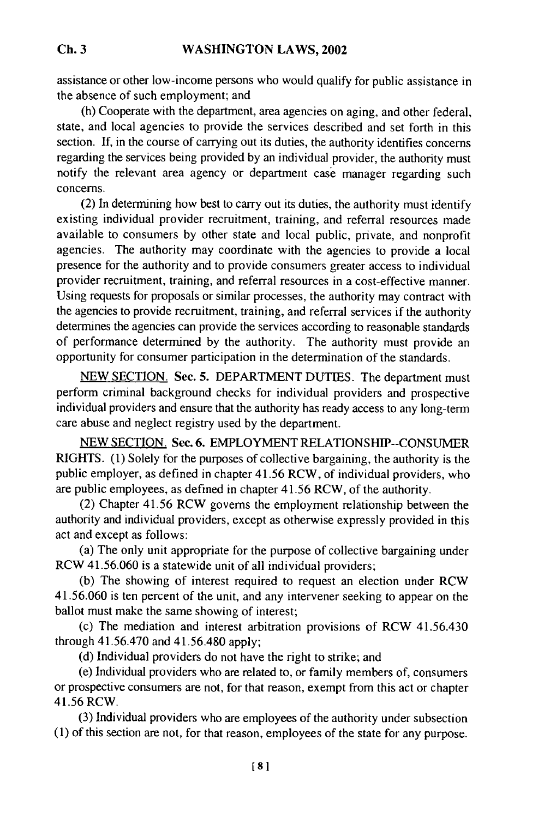assistance or other low-income persons who would qualify for public assistance in the absence of such employment; and

(h) Cooperate with the department, area agencies on aging, and other federal, state, and local agencies to provide the services described and set forth in this section. If, in the course of carrying out its duties, the authority identifies concerns regarding the services being provided by an individual provider, the authority must notify the relevant area agency or department case manager regarding such concerns.

(2) In determining how best to carry out its duties, the authority must identify existing individual provider recruitment, training, and referral resources made available to consumers by other state and local public, private, and nonprofit agencies. The authority may coordinate with the agencies to provide a local presence for the authority and to provide consumers greater access to individual provider recruitment, training, and referral resources in a cost-effective manner. Using requests for proposals or similar processes, the authority may contract with the agencies to provide recruitment, training, and referral services if the authority determines the agencies can provide the services according to reasonable standards of performance determined by the authority. The authority must provide an opportunity for consumer participation in the determination of the standards.

NEW SECTION. Sec. **5.** DEPARTMENT DUTIES. The department must perform criminal background checks for individual providers and prospective individual providers and ensure that the authority has ready access to any long-term care abuse and neglect registry used by the department.

NEW SECTION. Sec. 6. EMPLOYMENT RELATIONSHIP--CONSUMER RIGHTS. (1) Solely for the purposes of collective bargaining, the authority is the public employer, as defined in chapter 41.56 RCW, of individual providers, who are public employees, as defined in chapter 41.56 RCW, of the authority.

(2) Chapter 41.56 RCW governs the employment relationship between the authority and individual providers, except as otherwise expressly provided in this act and except as follows:

(a) The only unit appropriate for the purpose of collective bargaining under RCW 41.56.060 is a statewide unit of all individual providers;

(b) The showing of interest required to request an election under RCW 41.56.060 is ten percent of the unit, and any intervener seeking to appear on the ballot must make the same showing of interest;

(c) The mediation and interest arbitration provisions of RCW 41.56.430 through 41.56.470 and 41.56.480 apply;

(d) Individual providers do not have the right to strike; and

(e) Individual providers who are related to, or family members of, consumers or prospective consumers are not, for that reason, exempt from this act or chapter 41.56 RCW.

(3) Individual providers who are employees of the authority under subsection (1) of this section are not, for that reason, employees of the state for any purpose.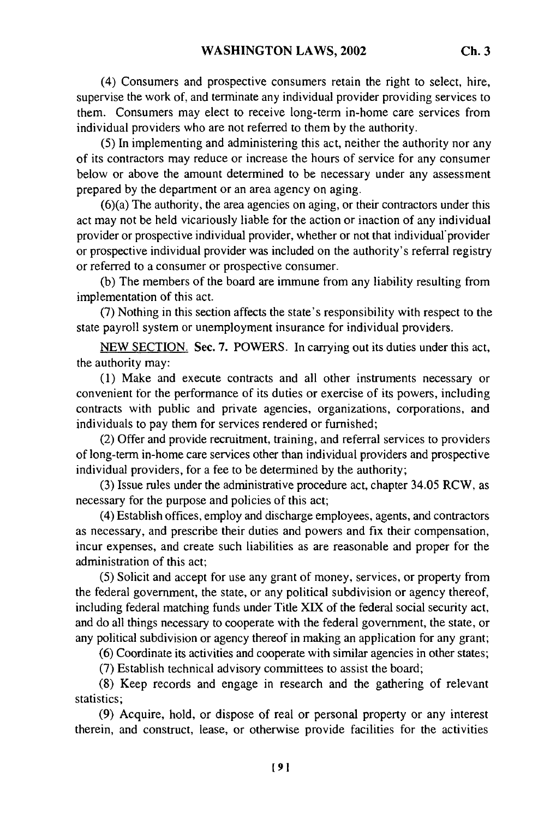(4) Consumers and prospective consumers retain the right to select, hire, supervise the work of, and terminate any individual provider providing services to them. Consumers may elect to receive long-term in-home care services from individual providers who are not referred to them by the authority.

**(5)** In implementing and administering this act, neither the authority nor any of its contractors may reduce or increase the hours of service for any consumer below or above the amount determined to be necessary under any assessment prepared by the department or an area agency on aging.

(6)(a) The authority, the area agencies on aging, or their contractors under this act may not be held vicariously liable for the action or inaction of any individual provider or prospective individual provider, whether or not that individual'provider or prospective individual provider was included on the authority's referral registry or referred to a consumer or prospective consumer.

(b) The members of the board are immune from any liability resulting from implementation of this act.

(7) Nothing in this section affects the state's responsibility with respect to the state payroll system or unemployment insurance for individual providers.

NEW SECTION. Sec. 7. POWERS. In carrying out its duties under this act, the authority may:

(1) Make and execute contracts and all other instruments necessary or convenient for the performance of its duties or exercise of its powers, including contracts with public and private agencies, organizations, corporations, and individuals to pay them for services rendered or furnished;

(2) Offer and provide recruitment, training, and referral services to providers of long-term in-home care services other than individual providers and prospective individual providers, for a fee to be determined by the authority;

(3) Issue rules under the administrative procedure act, chapter 34.05 RCW, as necessary for the purpose and policies of this act;

(4) Establish offices, employ and discharge employees, agents, and contractors as necessary, and prescribe their duties and powers and fix their compensation, incur expenses, and create such liabilities as are reasonable and proper for the administration of this act;

(5) Solicit and accept for use any grant of money, services, or property from the federal government, the state, or any political subdivision or agency thereof, including federal matching funds under Title XIX of the federal social security act, and do all things necessary to cooperate with the federal government, the state, or any political subdivision or agency thereof in making an application for any grant;

(6) Coordinate its activities and cooperate with similar agencies in other states;

(7) Establish technical advisory committees to assist the board;

(8) Keep records and engage in research and the gathering of relevant statistics;

(9) Acquire, hold, or dispose of real or personal property or any interest therein, and construct, lease, or otherwise provide facilities for the activities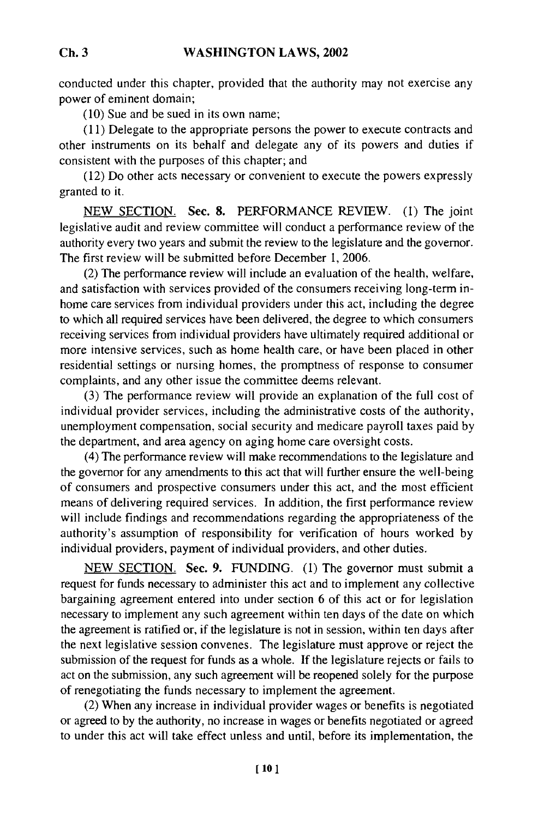conducted under this chapter, provided that the authority may not exercise any power of eminent domain;

(10) Sue and be sued in its own name;

(11) Delegate to the appropriate persons the power to execute contracts and other instruments on its behalf and delegate any of its powers and duties if consistent with the purposes of this chapter; and

(12) Do other acts necessary or convenient to execute the powers expressly granted to it.

NEW SECTION. Sec. 8. PERFORMANCE REVIEW. (I) The joint legislative audit and review committee will conduct a performance review of the authority every two years and submit the review to the legislature and the governor. The first review will be submitted before December 1, 2006.

(2) The performance review will include an evaluation of the health, welfare, and satisfaction with services provided of the consumers receiving long-term inhome care services from individual providers under this act, including the degree to which all required services have been delivered, the degree to which consumers receiving services from individual providers have ultimately required additional or more intensive services, such as home health care, or have been placed in other residential settings or nursing homes, the promptness of response to consumer complaints, and any other issue the committee deems relevant.

(3) The performance review will provide an explanation of the full cost of individual provider services, including the administrative costs of the authority, unemployment compensation, social security and medicare payroll taxes paid by the department, and area agency on aging home care oversight costs.

(4) The performance review will make recommendations to the legislature and the governor for any amendments to this act that will further ensure the well-being of consumers and prospective consumers under this act, and the most efficient means of delivering required services. In addition, the first performance review will include findings and recommendations regarding the appropriateness of the authority's assumption of responsibility for verification of hours worked by individual providers, payment of individual providers, and other duties.

NEW SECTION. Sec. **9.** FUNDING. (1) The governor must submit a request for funds necessary to administer this act and to implement any collective bargaining agreement entered into under section 6 of this act or for legislation necessary to implement any such agreement within ten days of the date on which the agreement is ratified or, if the legislature is not in session, within ten days after the next legislative session convenes. The legislature must approve or reject the submission of the request for funds as a whole. If the legislature rejects or fails to act on the submission, any such agreement will be reopened solely for the purpose of renegotiating the funds necessary to implement the agreement.

(2) When any increase in individual provider wages or benefits is negotiated or agreed to by the authority, no increase in wages or benefits negotiated or agreed to under this act will take effect unless and until, before its implementation, the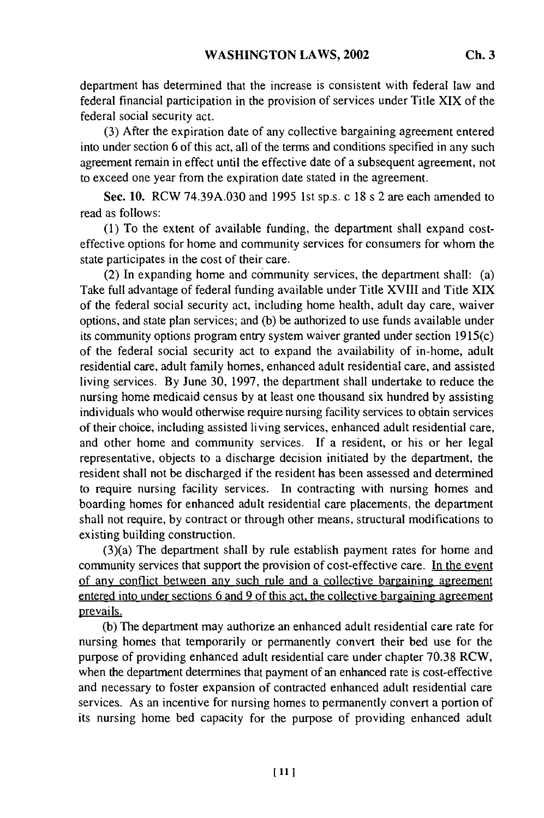department has determined that the increase is consistent with federal law and federal financial participation in the provision of services under Title XIX of the federal social security act.

(3) After the expiration date of any collective bargaining agreement entered into under section 6 of this act, all of the terms and conditions specified in any such agreement remain in effect until the effective date of a subsequent agreement, not to exceed one year from the expiration date stated in the agreement.

Sec. 10. RCW 74.39A.030 and 1995 1st sp.s. c 18 s 2 are each amended to read as follows:

(1) To the extent of available funding, the department shall expand costeffective options for home and community services for consumers for whom the state participates in the cost of their care.

(2) In expanding home and community services, the department shall: (a) Take full advantage of federal funding available under Title XVIII and Title XIX of the federal social security act, including home health, adult day care, waiver options, and state plan services; and (b) be authorized to use funds available under its community options program entry system waiver granted under section 1915(c) of the federal social security act to expand the availability of in-home, adult residential care, adult family homes, enhanced adult residential care, and assisted living services. By June 30, 1997, the department shall undertake to reduce the nursing home medicaid census by at least one thousand six hundred by assisting individuals who would otherwise require nursing facility services to obtain services of their choice, including assisted living services, enhanced adult residential care, and other home and community services. If a resident, or his or her legal representative, objects to a discharge decision initiated by the department, the resident shall not be discharged if the resident has been assessed and determined to require nursing facility services. In contracting with nursing homes and boarding homes for enhanced adult residential care placements, the department shall not require, by contract or through other means, structural modifications to existing building construction.

(3)(a) The department shall by rule establish payment rates for home and community services that support the provision of cost-effective care. In the event of any conflict between any such rule and a collective bargaining agreement entered into under sections 6 and 9 of this act, the collective bargaining agreement prevails.

(b) The department may authorize an enhanced adult residential care rate for nursing homes that temporarily or permanently convert their bed use for the purpose of providing enhanced adult residential care under chapter 70.38 RCW, when the department determines that payment of an enhanced rate is cost-effective and necessary to foster expansion of contracted enhanced adult residential care services. As an incentive for nursing homes to permanently convert a portion of its nursing home bed capacity for the purpose of providing enhanced adult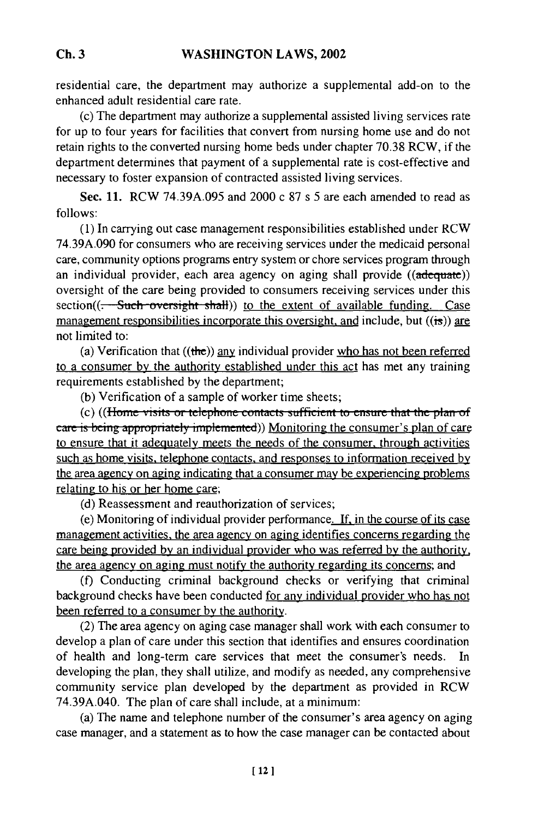residential care, the department may authorize a supplemental add-on to the enhanced adult residential care rate.

(c) The department may authorize a supplemental assisted living services rate for up to four years for facilities that convert from nursing home use and do not retain rights to the converted nursing home beds under chapter 70.38 RCW, if the department determines that payment of a supplemental rate is cost-effective and necessary to foster expansion of contracted assisted living services.

Sec. 11. RCW 74.39A.095 and 2000 c 87 s 5 are each amended to read as follows:

**(1)** In carrying out case management responsibilities established under RCW 74.39A.090 for consumers who are receiving services under the medicaid personal care, community options programs entry system or chore services program through an individual provider, each area agency on aging shall provide  $((\text{adequate}))$ oversight of the care being provided to consumers receiving services under this section( $(-$ Such oversight shall)) to the extent of available funding. Case management responsibilities incorporate this oversight, and include, but  $((i\pi))$  are not limited to:

(a) Verification that  $((the))$  any individual provider who has not been referred to a consumer by the authority established under this act has met any training requirements established by the department;

(b) Verification of a sample of worker time sheets;

(c) ((Home visits or telephone contacts sufficient to ensure that the plan of ......... i appo.piiat..y iu... te i )) Monitoring the consumer's plan of care to ensure that it adequately meets the needs of the consumer, through activities such as home visits, telephone contacts, and responses to information received **by** the area agency on aging indicating that a consumer may be experiencing problems relating to his or her home care;

(d) Reassessment and reauthorization of services;

(e) Monitoring of individual provider performance. **If,** in the course of its case management activities, the area agency on aging identifies concerns regarding the care being provided by an individual provider who was referred by the authority, the area agency on aging must notify the authority regarding its concerns; and

(f) Conducting criminal background checks or verifying that criminal background checks have been conducted for any individual provider who has not been referred to a consumer **by** the authority.

(2) The area agency on aging case manager shall work with each consumer to develop a plan of care under this section that identifies and ensures coordination of health and long-term care services that meet the consumer's needs. In developing the plan, they shall utilize, and modify as needed, any comprehensive community service plan developed **by** the department as provided in RCW 74.39A.040. The plan of care shall include, at a minimum:

(a) The name and telephone number of the consumer's area agency on aging case manager, and a statement as to how the case manager can be contacted about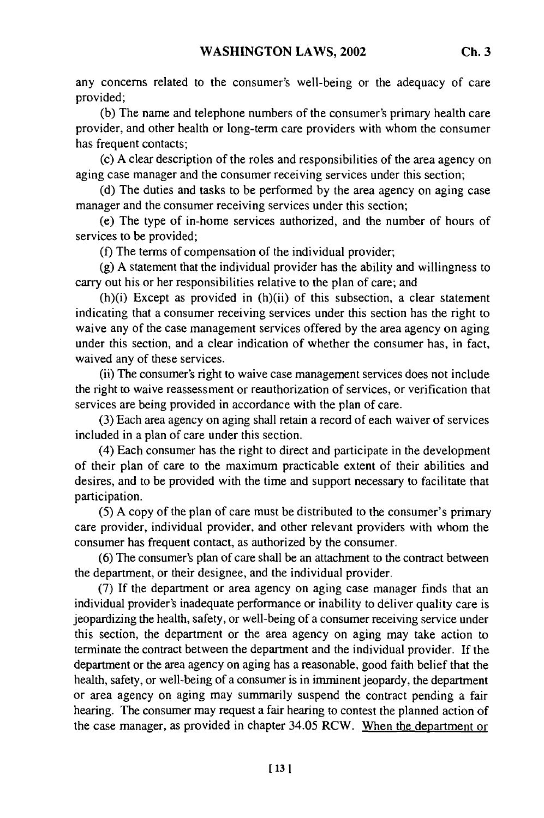any concerns related to the consumer's well-being or the adequacy of care provided;

(b) The name and telephone numbers of the consumer's primary health care provider, and other health or long-term care providers with whom the consumer has frequent contacts;

(c) A clear description of the roles and responsibilities of the area agency on aging case manager and the consumer receiving services under this section;

(d) The duties and tasks to be performed by the area agency on aging case manager and the consumer receiving services under this section;

(e) The type of in-home services authorized, and the number of hours of services to be provided;

(f) The terms of compensation of the individual provider;

(g) A statement that the individual provider has the ability and willingness to carry out his or her responsibilities relative to the plan of care; and

(h)(i) Except as provided in (h)(ii) of this subsection, a clear statement indicating that a consumer receiving services under this section has the right to waive any of the case management services offered by the area agency on aging under this section, and a clear indication of whether the consumer has, in fact, waived any of these services.

(ii) The consumer's right to waive case management services does not include the right to waive reassessment or reauthorization of services, or verification that services are being provided in accordance with the plan of care.

(3) Each area agency on aging shall retain a record of each waiver of services included in a plan of care under this section.

(4) Each consumer has the right to direct and participate in the development of their plan of care to the maximum practicable extent of their abilities and desires, and to be provided with the time and support necessary to facilitate that participation.

(5) A copy of the plan of care must be distributed to the consumer's primary care provider, individual provider, and other relevant providers with whom the consumer has frequent contact, as authorized by the consumer.

(6) The consumer's plan of care shall be an attachment to the contract between the department, or their designee, and the individual provider.

(7) If the department or area agency on aging case manager finds that an individual provider's inadequate performance or inability to deliver quality care is jeopardizing the health, safety, or well-being of a consumer receiving service under this section, the department or the area agency on aging may take action to terminate the contract between the department and the individual provider. If the department or the area agency on aging has a reasonable, good faith belief that the health, safety, or well-being of a consumer is in imminent jeopardy, the department or area agency on aging may summarily suspend the contract pending a fair hearing. The consumer may request a fair hearing to contest the planned action of the case manager, as provided in chapter 34.05 RCW. When the department or